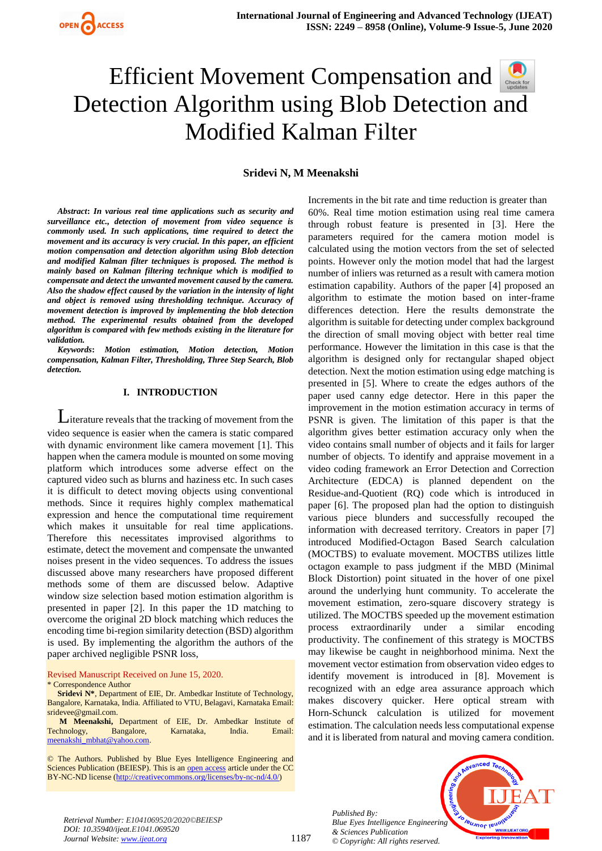

**Sridevi N, M Meenakshi** 

*Abstract***:** *In various real time applications such as security and surveillance etc., detection of movement from video sequence is commonly used. In such applications, time required to detect the movement and its accuracy is very crucial. In this paper, an efficient motion compensation and detection algorithm using Blob detection and modified Kalman filter techniques is proposed. The method is mainly based on Kalman filtering technique which is modified to compensate and detect the unwanted movement caused by the camera. Also the shadow effect caused by the variation in the intensity of light and object is removed using thresholding technique. Accuracy of movement detection is improved by implementing the blob detection method. The experimental results obtained from the developed algorithm is compared with few methods existing in the literature for validation.*

*Keywords***:** *Motion estimation, Motion detection, Motion compensation, Kalman Filter, Thresholding, Three Step Search, Blob detection.*

#### **I. INTRODUCTION**

Literature reveals that the tracking of movement from the video sequence is easier when the camera is static compared with dynamic environment like camera movement [1]. This happen when the camera module is mounted on some moving platform which introduces some adverse effect on the captured video such as blurns and haziness etc. In such cases it is difficult to detect moving objects using conventional methods. Since it requires highly complex mathematical expression and hence the computational time requirement which makes it unsuitable for real time applications. Therefore this necessitates improvised algorithms to estimate, detect the movement and compensate the unwanted noises present in the video sequences. To address the issues discussed above many researchers have proposed different methods some of them are discussed below. Adaptive window size selection based motion estimation algorithm is presented in paper [2]. In this paper the 1D matching to overcome the original 2D block matching which reduces the encoding time bi-region similarity detection (BSD) algorithm is used. By implementing the algorithm the authors of the paper archived negligible PSNR loss,

#### Revised Manuscript Received on June 15, 2020. \* Correspondence Author

**Sridevi N\***, Department of EIE, Dr. Ambedkar Institute of Technology, Bangalore, Karnataka, India. Affiliated to VTU, Belagavi, Karnataka Email: [sridevee@gmail.com.](mailto:sridevee@gmail.com)

**M Meenakshi,** Department of EIE, Dr. Ambedkar Institute of Technology, Bangalore, Karnataka, India. Email: [meenakshi\\_mbhat@yahoo.com.](mailto:meenakshi_mbhat@yahoo.com)

© The Authors. Published by Blue Eyes Intelligence Engineering and Sciences Publication (BEIESP). This is a[n open access](https://www.openaccess.nl/en/open-publications) article under the CC BY-NC-ND license [\(http://creativecommons.org/licenses/by-nc-nd/4.0/\)](http://creativecommons.org/licenses/by-nc-nd/4.0/)

Increments in the bit rate and time reduction is greater than 60%. Real time motion estimation using real time camera through robust feature is presented in [3]. Here the parameters required for the camera motion model is calculated using the motion vectors from the set of selected points. However only the motion model that had the largest number of inliers was returned as a result with camera motion estimation capability. Authors of the paper [4] proposed an algorithm to estimate the motion based on inter-frame differences detection. Here the results demonstrate the algorithm is suitable for detecting under complex background the direction of small moving object with better real time performance. However the limitation in this case is that the algorithm is designed only for rectangular shaped object detection. Next the motion estimation using edge matching is presented in [5]. Where to create the edges authors of the paper used canny edge detector. Here in this paper the improvement in the motion estimation accuracy in terms of PSNR is given. The limitation of this paper is that the algorithm gives better estimation accuracy only when the video contains small number of objects and it fails for larger number of objects. To identify and appraise movement in a video coding framework an Error Detection and Correction Architecture (EDCA) is planned dependent on the Residue-and-Quotient (RQ) code which is introduced in paper [6]. The proposed plan had the option to distinguish various piece blunders and successfully recouped the information with decreased territory. Creators in paper [7] introduced Modified-Octagon Based Search calculation (MOCTBS) to evaluate movement. MOCTBS utilizes little octagon example to pass judgment if the MBD (Minimal Block Distortion) point situated in the hover of one pixel around the underlying hunt community. To accelerate the movement estimation, zero-square discovery strategy is utilized. The MOCTBS speeded up the movement estimation process extraordinarily under a similar encoding productivity. The confinement of this strategy is MOCTBS may likewise be caught in neighborhood minima. Next the movement vector estimation from observation video edges to identify movement is introduced in [8]. Movement is recognized with an edge area assurance approach which makes discovery quicker. Here optical stream with Horn-Schunck calculation is utilized for movement estimation. The calculation needs less computational expense and it is liberated from natural and moving camera condition.

*Published By: Blue Eyes Intelligence Engineering & Sciences Publication © Copyright: All rights reserved.*



*Retrieval Number: E1041069520/2020©BEIESP DOI: 10.35940/ijeat.E1041.069520 Journal Website: www.ijeat.org*

1187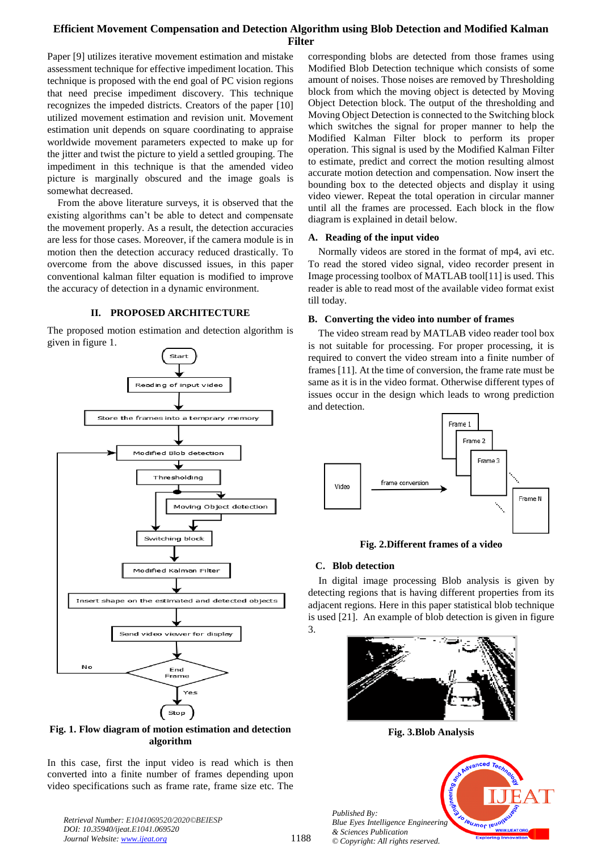Paper [9] utilizes iterative movement estimation and mistake assessment technique for effective impediment location. This technique is proposed with the end goal of PC vision regions that need precise impediment discovery. This technique recognizes the impeded districts. Creators of the paper [10] utilized movement estimation and revision unit. Movement estimation unit depends on square coordinating to appraise worldwide movement parameters expected to make up for the jitter and twist the picture to yield a settled grouping. The impediment in this technique is that the amended video picture is marginally obscured and the image goals is somewhat decreased.

From the above literature surveys, it is observed that the existing algorithms can't be able to detect and compensate the movement properly. As a result, the detection accuracies are less for those cases. Moreover, if the camera module is in motion then the detection accuracy reduced drastically. To overcome from the above discussed issues, in this paper conventional kalman filter equation is modified to improve the accuracy of detection in a dynamic environment.

## **II. PROPOSED ARCHITECTURE**

The proposed motion estimation and detection algorithm is given in figure 1.



**Fig. 1. Flow diagram of motion estimation and detection algorithm**

In this case, first the input video is read which is then converted into a finite number of frames depending upon video specifications such as frame rate, frame size etc. The

*Retrieval Number: E1041069520/2020©BEIESP DOI: 10.35940/ijeat.E1041.069520 Journal Website: www.ijeat.org*

corresponding blobs are detected from those frames using Modified Blob Detection technique which consists of some amount of noises. Those noises are removed by Thresholding block from which the moving object is detected by Moving Object Detection block. The output of the thresholding and Moving Object Detection is connected to the Switching block which switches the signal for proper manner to help the Modified Kalman Filter block to perform its proper operation. This signal is used by the Modified Kalman Filter to estimate, predict and correct the motion resulting almost accurate motion detection and compensation. Now insert the bounding box to the detected objects and display it using video viewer. Repeat the total operation in circular manner until all the frames are processed. Each block in the flow diagram is explained in detail below.

#### **A. Reading of the input video**

Normally videos are stored in the format of mp4, avi etc. To read the stored video signal, video recorder present in Image processing toolbox of MATLAB tool[11] is used. This reader is able to read most of the available video format exist till today.

## **B. Converting the video into number of frames**

The video stream read by MATLAB video reader tool box is not suitable for processing. For proper processing, it is required to convert the video stream into a finite number of frames [11]. At the time of conversion, the frame rate must be same as it is in the video format. Otherwise different types of issues occur in the design which leads to wrong prediction and detection.



#### **Fig. 2.Different frames of a video**

## **C. Blob detection**

In digital image processing Blob analysis is given by detecting regions that is having different properties from its adjacent regions. Here in this paper statistical blob technique is used [21]. An example of blob detection is given in figure 3.



**Fig. 3.Blob Analysis**

*Published By: Blue Eyes Intelligence Engineering & Sciences Publication © Copyright: All rights reserved.*

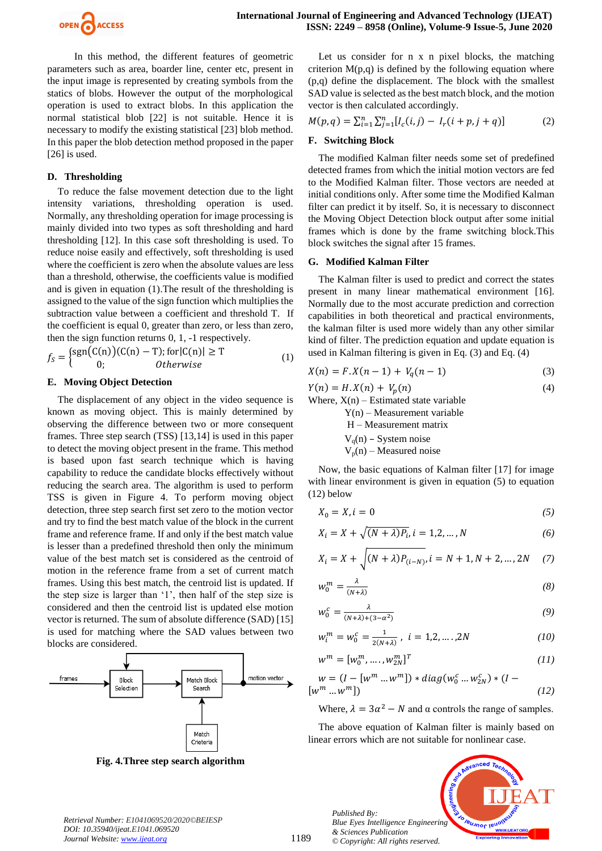

In this method, the different features of geometric parameters such as area, boarder line, center etc, present in the input image is represented by creating symbols from the statics of blobs. However the output of the morphological operation is used to extract blobs. In this application the normal statistical blob [22] is not suitable. Hence it is necessary to modify the existing statistical [23] blob method. In this paper the blob detection method proposed in the paper [26] is used.

## **D. Thresholding**

To reduce the false movement detection due to the light intensity variations, thresholding operation is used. Normally, any thresholding operation for image processing is mainly divided into two types as soft thresholding and hard thresholding [12]. In this case soft thresholding is used. To reduce noise easily and effectively, soft thresholding is used where the coefficient is zero when the absolute values are less than a threshold, otherwise, the coefficients value is modified and is given in equation (1).The result of the thresholding is assigned to the value of the sign function which multiplies the subtraction value between a coefficient and threshold T. If the coefficient is equal 0, greater than zero, or less than zero, then the sign function returns 0, 1, -1 respectively.

$$
f_S = \begin{cases} \n\text{sgn}(C(n))(C(n) - T); \n\text{for}|C(n)| \geq T \\
0; \n\text{Otherwise}\n\end{cases} \tag{1}
$$

#### **E. Moving Object Detection**

The displacement of any object in the video sequence is known as moving object. This is mainly determined by observing the difference between two or more consequent frames. Three step search (TSS) [13,14] is used in this paper to detect the moving object present in the frame. This method is based upon fast search technique which is having capability to reduce the candidate blocks effectively without reducing the search area. The algorithm is used to perform TSS is given in Figure 4. To perform moving object detection, three step search first set zero to the motion vector and try to find the best match value of the block in the current frame and reference frame. If and only if the best match value is lesser than a predefined threshold then only the minimum value of the best match set is considered as the centroid of motion in the reference frame from a set of current match frames. Using this best match, the centroid list is updated. If the step size is larger than '1', then half of the step size is considered and then the centroid list is updated else motion vector is returned. The sum of absolute difference (SAD) [15] is used for matching where the SAD values between two blocks are considered.



**Fig. 4.Three step search algorithm**

Let us consider for n x n pixel blocks, the matching criterion  $M(p,q)$  is defined by the following equation where (p,q) define the displacement. The block with the smallest SAD value is selected as the best match block, and the motion vector is then calculated accordingly.

$$
M(p,q) = \sum_{i=1}^{n} \sum_{j=1}^{n} [I_c(i,j) - I_r(i+p, j+q)] \tag{2}
$$

#### **F. Switching Block**

The modified Kalman filter needs some set of predefined detected frames from which the initial motion vectors are fed to the Modified Kalman filter. Those vectors are needed at initial conditions only. After some time the Modified Kalman filter can predict it by itself. So, it is necessary to disconnect the Moving Object Detection block output after some initial frames which is done by the frame switching block.This block switches the signal after 15 frames.

## **G. Modified Kalman Filter**

The Kalman filter is used to predict and correct the states present in many linear mathematical environment [16]. Normally due to the most accurate prediction and correction capabilities in both theoretical and practical environments, the kalman filter is used more widely than any other similar kind of filter. The prediction equation and update equation is used in Kalman filtering is given in Eq. (3) and Eq. (4)

$$
X(n) = F \cdot X(n-1) + V_q(n-1) \tag{3}
$$

 $Y(n) = H.X(n) + V_n(n)$  (4)

Where,  $X(n)$  – Estimated state variable Y(n) – Measurement variable

H – Measurement matrix  $V<sub>q</sub>(n)$  – System noise

 $V_p(n)$  – Measured noise

Now, the basic equations of Kalman filter [17] for image with linear environment is given in equation (5) to equation (12) below

$$
X_0 = X, i = 0 \tag{5}
$$

$$
X_i = X + \sqrt{(N + \lambda)P_i}, i = 1, 2, ..., N
$$
 (6)

$$
X_i = X + \sqrt{(N + \lambda)P_{(i-N)}}, i = N + 1, N + 2, ..., 2N \quad (7)
$$

$$
w_0^m = \frac{\lambda}{(N+\lambda)}\tag{8}
$$

$$
w_0^c = \frac{\lambda}{(N+\lambda)+(3-\alpha^2)}\tag{9}
$$

$$
w_i^m = w_0^c = \frac{1}{2(N+\lambda)}, \ i = 1, 2, \dots, 2N
$$
 (10)

$$
w^{m} = [w_0^{m}, \dots, w_{2N}^{m}]^{T}
$$
 (11)

$$
w = (I - [wm ... wm]) * diag(w0c ... w2Nc) * (I - [wm ... wm])
$$
\n(12)

Where,  $\lambda = 3\alpha^2 - N$  and  $\alpha$  controls the range of samples.

The above equation of Kalman filter is mainly based on linear errors which are not suitable for nonlinear case.

*Published By: Blue Eyes Intelligence Engineering & Sciences Publication © Copyright: All rights reserved.*



*Retrieval Number: E1041069520/2020©BEIESP DOI: 10.35940/ijeat.E1041.069520 Journal Website: www.ijeat.org*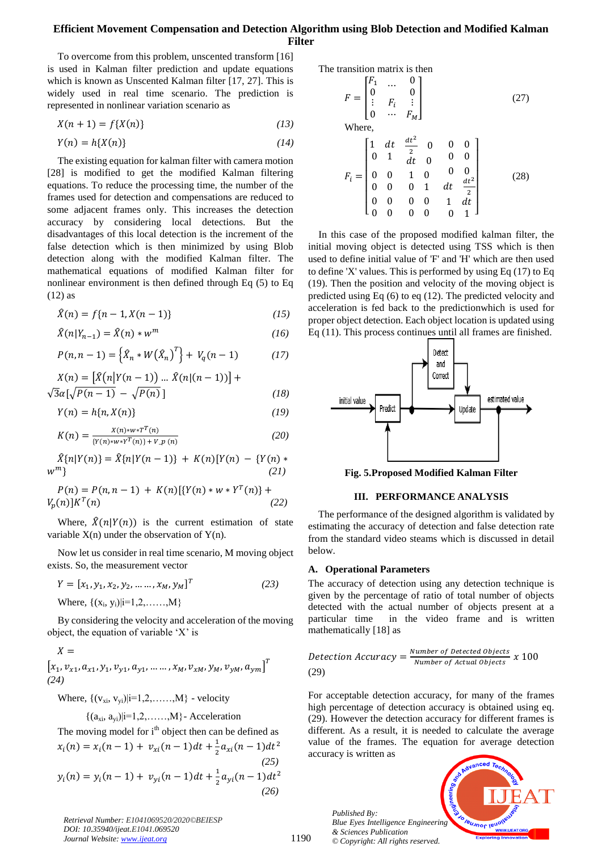To overcome from this problem, unscented transform [16] is used in Kalman filter prediction and update equations which is known as Unscented Kalman filter [17, 27]. This is widely used in real time scenario. The prediction is represented in nonlinear variation scenario as

$$
X(n+1) = f\{X(n)\}\tag{13}
$$

$$
Y(n) = h\{X(n)\}\tag{14}
$$

The existing equation for kalman filter with camera motion [28] is modified to get the modified Kalman filtering equations. To reduce the processing time, the number of the frames used for detection and compensations are reduced to some adjacent frames only. This increases the detection accuracy by considering local detections. But the disadvantages of this local detection is the increment of the false detection which is then minimized by using Blob detection along with the modified Kalman filter. The mathematical equations of modified Kalman filter for nonlinear environment is then defined through Eq (5) to Eq (12) as

$$
\hat{X}(n) = f\{n-1, X(n-1)\}\tag{15}
$$

$$
\widehat{X}(n|Y_{n-1}) = \widehat{X}(n) * w^m \tag{16}
$$

$$
P(n, n-1) = \left\{ \hat{X}_n * W(\hat{X}_n)^T \right\} + V_q(n-1) \tag{17}
$$

$$
X(n) = \left[\hat{X}(n|Y(n-1))\dots\hat{X}(n|(n-1))\right] + \sqrt{3}\alpha\left[\sqrt{P(n-1)} - \sqrt{P(n)}\right]
$$
\n(18)

$$
Y(n) = h\{n, X(n)\}\tag{19}
$$

$$
K(n) = \frac{X(n) * w * T^{T}(n)}{\{Y(n) * w * Y^{T}(n)\} + V \cdot p(n)}\tag{20}
$$

$$
\hat{X}{n|Y(n)} = \hat{X}{n|Y(n-1)} + K(n)[Y(n) - {Y(n)} * (21)
$$

$$
P(n) = P(n, n - 1) + K(n)[\{Y(n) * w * Y^{T}(n)\} + V_{p}(n)]K^{T}(n)
$$
\n(22)

Where,  $\hat{X}(n|Y(n))$  is the current estimation of state variable  $X(n)$  under the observation of  $Y(n)$ .

Now let us consider in real time scenario, M moving object exists. So, the measurement vector

$$
Y = [x_1, y_1, x_2, y_2, \dots, x_M, y_M]^T
$$
  
Where, {(x<sub>i</sub>, y<sub>i</sub>)} $i=1,2,\dots,M$ } (23)

By considering the velocity and acceleration of the moving object, the equation of variable 'X' is

$$
X = \begin{bmatrix} x_1, v_{x1}, a_{x1}, y_1, v_{y1}, a_{y1}, \dots, x_M, v_{xM}, y_M, v_{yM}, a_{ym} \end{bmatrix}^T
$$
  
(24)

Where,  $\{ (v_{xi}, v_{yi}) | i=1, 2, \ldots, M \}$  - velocity

 ${(a_{xi}, a_{vi})|i=1, 2, \ldots, M}$ - Acceleration

The moving model for i<sup>th</sup> object then can be defined as  
\n
$$
x_i(n) = x_i(n-1) + v_{xi}(n-1)dt + \frac{1}{2}a_{xi}(n-1)dt^2
$$
\n(25)  
\n
$$
y_i(n) = y_i(n-1) + v_{yi}(n-1)dt + \frac{1}{2}a_{yi}(n-1)dt^2
$$
\n(26)

*Retrieval Number: E1041069520/2020©BEIESP DOI: 10.35940/ijeat.E1041.069520 Journal Website: www.ijeat.org*

The transition matrix is then

$$
F = \begin{bmatrix} F_1 & \cdots & 0 \\ 0 & & 0 \\ \vdots & F_i & \vdots \\ 0 & \cdots & F_M \end{bmatrix}
$$
 (27)  
Where,  

$$
F_i = \begin{bmatrix} 1 & dt & \frac{dt^2}{2} & 0 & 0 & 0 \\ 0 & 1 & dt & 0 & 0 & 0 \\ 0 & 0 & 1 & 0 & 0 & 0 \\ 0 & 0 & 0 & 1 & dt & \frac{dt^2}{2} \\ 0 & 0 & 0 & 0 & 1 & dt \end{bmatrix}
$$
 (28)

In this case of the proposed modified kalman filter, the initial moving object is detected using TSS which is then used to define initial value of 'F' and 'H' which are then used to define 'X' values. This is performed by using Eq (17) to Eq (19). Then the position and velocity of the moving object is predicted using Eq (6) to eq (12). The predicted velocity and acceleration is fed back to the predictionwhich is used for proper object detection. Each object location is updated using Eq (11). This process continues until all frames are finished.



**Fig. 5.Proposed Modified Kalman Filter**

#### **III. PERFORMANCE ANALYSIS**

The performance of the designed algorithm is validated by estimating the accuracy of detection and false detection rate from the standard video steams which is discussed in detail below.

#### **A. Operational Parameters**

The accuracy of detection using any detection technique is given by the percentage of ratio of total number of objects detected with the actual number of objects present at a particular time in the video frame and is written mathematically [18] as

**Detection Accuracy** = 
$$
\frac{Number\ of\ detected\ Objects}{Number\ of\ Actual\ objects} x 100
$$
 (29)

For acceptable detection accuracy, for many of the frames high percentage of detection accuracy is obtained using eq. (29). However the detection accuracy for different frames is different. As a result, it is needed to calculate the average value of the frames. The equation for average detection accuracy is written as

*Published By: Blue Eyes Intelligence Engineering & Sciences Publication © Copyright: All rights reserved.*

1190

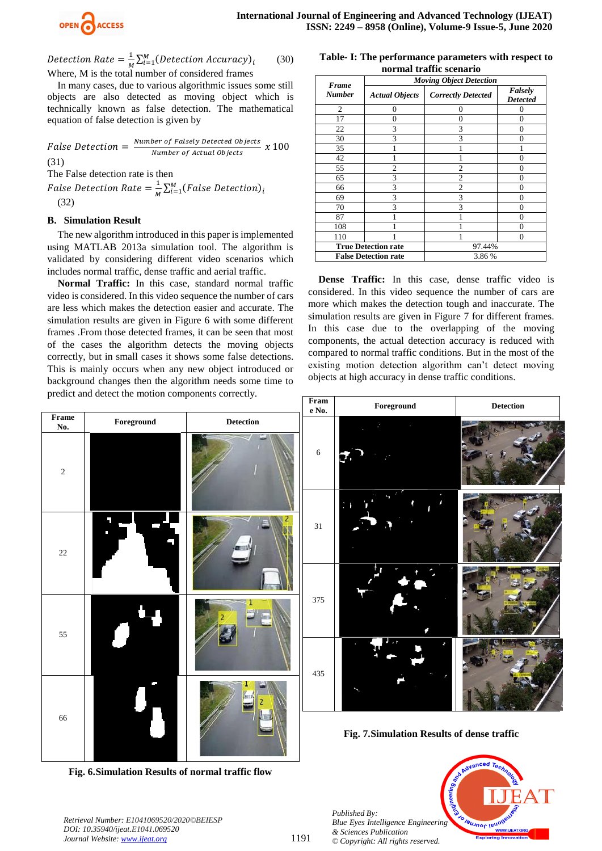

Detection Rate  $=\frac{1}{N}$  $\frac{1}{M}\sum_{i=1}^{M}$  (30) Where, M is the total number of considered frames

In many cases, due to various algorithmic issues some still objects are also detected as moving object which is technically known as false detection. The mathematical equation of false detection is given by

False Detection  $=$   $\frac{N}{2}$ ber by Fuisely Detected Objects<br>Number of Actual Objects X (31)

The False detection rate is then

False Detection Rate  $=\frac{1}{M}$  $\frac{1}{M}\sum_{i=1}^{M}$ (32)

## **B. Simulation Result**

The new algorithm introduced in this paper is implemented using MATLAB 2013a simulation tool. The algorithm is validated by considering different video scenarios which includes normal traffic, dense traffic and aerial traffic.

**Normal Traffic:** In this case, standard normal traffic video is considered. In this video sequence the number of cars are less which makes the detection easier and accurate. The simulation results are given in Figure 6 with some different frames .From those detected frames, it can be seen that most of the cases the algorithm detects the moving objects correctly, but in small cases it shows some false detections. This is mainly occurs when any new object introduced or background changes then the algorithm needs some time to predict and detect the motion components correctly.

| normal traffic scenario<br><b>Moving Object Detection</b> |                            |                           |                            |
|-----------------------------------------------------------|----------------------------|---------------------------|----------------------------|
| <b>Frame</b><br><b>Number</b>                             | <b>Actual Objects</b>      | <b>Correctly Detected</b> | Falsely<br><b>Detected</b> |
| $\overline{c}$                                            | 0                          | $\Omega$                  | 0                          |
| 17                                                        | 0                          | 0                         | 0                          |
| 22                                                        | 3                          | 3                         | 0                          |
| 30                                                        | 3                          | 3                         | 0                          |
| 35                                                        |                            |                           |                            |
| 42                                                        |                            |                           | 0                          |
| 55                                                        | $\overline{c}$             | $\overline{c}$            | 0                          |
| 65                                                        | 3                          | $\overline{c}$            | 0                          |
| 66                                                        | 3                          | $\overline{c}$            | 0                          |
| 69                                                        | 3                          | 3                         | 0                          |
| 70                                                        | 3                          | $\mathbf{3}$              | 0                          |
| 87                                                        |                            |                           | 0                          |
| 108                                                       |                            |                           |                            |
| 110                                                       |                            |                           | 0                          |
|                                                           | <b>True Detection rate</b> | 97.44%                    |                            |

**Table- I: The performance parameters with respect to** 

**Dense Traffic:** In this case, dense traffic video is considered. In this video sequence the number of cars are more which makes the detection tough and inaccurate. The simulation results are given in Figure 7 for different frames. In this case due to the overlapping of the moving components, the actual detection accuracy is reduced with compared to normal traffic conditions. But in the most of the existing motion detection algorithm can't detect moving objects at high accuracy in dense traffic conditions.

**False Detection rate** 3.86 %



**Fig. 6.Simulation Results of normal traffic flow**

*Blue Eyes Intelligence Engineering & Sciences Publication © Copyright: All rights reserved.*

*Retrieval Number: E1041069520/2020©BEIESP DOI: 10.35940/ijeat.E1041.069520 Journal Website: www.ijeat.org*

*Published By:*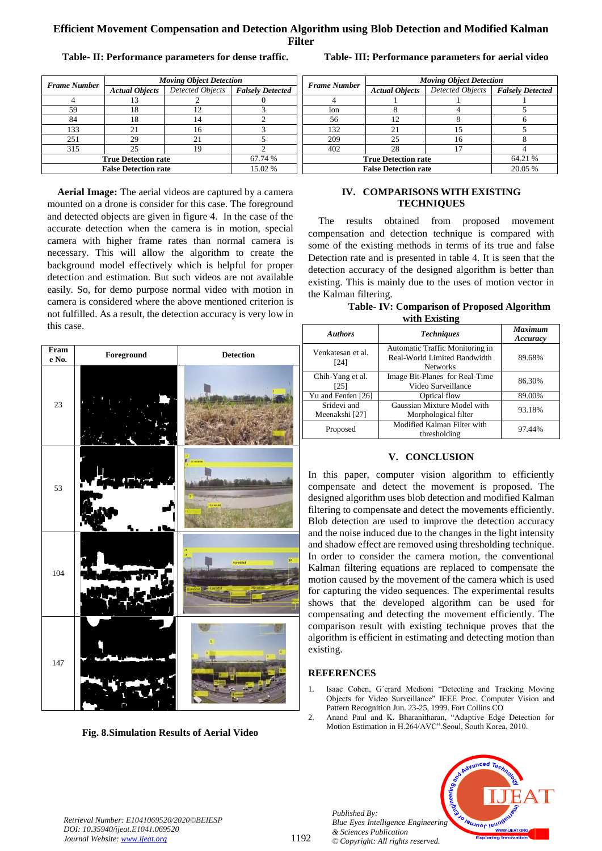**Table- II: Performance parameters for dense traffic.**

| <b>Frame Number</b>         | <b>Moving Object Detection</b> |                  |                         |
|-----------------------------|--------------------------------|------------------|-------------------------|
|                             | <b>Actual Objects</b>          | Detected Objects | <b>Falsely Detected</b> |
|                             |                                |                  |                         |
| 59                          | 18                             | 12               |                         |
| 84                          | 18                             | 14               |                         |
| 133                         | 21                             | 16               |                         |
| 251                         | 29                             | 21               |                         |
| 315                         | 25                             | 19               |                         |
| <b>True Detection rate</b>  |                                |                  | 67.74 %                 |
| <b>False Detection rate</b> |                                |                  | 15.02 %                 |

**Aerial Image:** The aerial videos are captured by a camera mounted on a drone is consider for this case. The foreground and detected objects are given in figure 4. In the case of the accurate detection when the camera is in motion, special camera with higher frame rates than normal camera is necessary. This will allow the algorithm to create the background model effectively which is helpful for proper detection and estimation. But such videos are not available easily. So, for demo purpose normal video with motion in camera is considered where the above mentioned criterion is not fulfilled. As a result, the detection accuracy is very low in this case.

| Fram<br>e No. | Foreground | <b>Detection</b>                 |
|---------------|------------|----------------------------------|
| $23\,$        |            |                                  |
| 53            |            | 11 predicted                     |
| 104           |            | 30<br>9 predicted<br>28 pridated |
| 147           |            |                                  |

**Fig. 8.Simulation Results of Aerial Video**

|                             | <b>Moving Object Detection</b> |                         |                         |
|-----------------------------|--------------------------------|-------------------------|-------------------------|
| Frame Number                | <b>Actual Objects</b>          | <b>Detected Objects</b> | <b>Falsely Detected</b> |
|                             |                                |                         |                         |
| Ion                         |                                |                         |                         |
| 56                          | 12                             |                         |                         |
| 132                         | 21                             | 15                      |                         |
| 209                         | 25                             | 16                      |                         |
| 402                         | 28                             |                         |                         |
| <b>True Detection rate</b>  |                                |                         | 64.21 %                 |
| <b>False Detection rate</b> |                                |                         | 20.05 %                 |

## **Table- III: Performance parameters for aerial video**

## **IV. COMPARISONS WITH EXISTING TECHNIQUES**

The results obtained from proposed movement compensation and detection technique is compared with some of the existing methods in terms of its true and false Detection rate and is presented in table 4. It is seen that the detection accuracy of the designed algorithm is better than existing. This is mainly due to the uses of motion vector in the Kalman filtering.

| <b>Table-IV: Comparison of Proposed Algorithm</b> |
|---------------------------------------------------|
| with Existing                                     |

| $\cdots$ and $\cdots$ and $\cdots$ and $\cdots$ |                                                                                    |                            |  |
|-------------------------------------------------|------------------------------------------------------------------------------------|----------------------------|--|
| <b>Authors</b>                                  | <b>Techniques</b>                                                                  | <b>Maximum</b><br>Accuracy |  |
| Venkatesan et al.<br>[24]                       | Automatic Traffic Monitoring in<br>Real-World Limited Bandwidth<br><b>Networks</b> | 89.68%                     |  |
| Chih-Yang et al.<br>[25]                        | Image Bit-Planes for Real-Time<br>Video Surveillance                               | 86.30%                     |  |
| Yu and Fenfen [26]                              | Optical flow                                                                       | 89.00%                     |  |
| Sridevi and<br>Meenakshi [27]                   | Gaussian Mixture Model with<br>Morphological filter                                | 93.18%                     |  |
| Proposed                                        | Modified Kalman Filter with<br>thresholding                                        | 97.44%                     |  |

# **V. CONCLUSION**

In this paper, computer vision algorithm to efficiently compensate and detect the movement is proposed. The designed algorithm uses blob detection and modified Kalman filtering to compensate and detect the movements efficiently. Blob detection are used to improve the detection accuracy and the noise induced due to the changes in the light intensity and shadow effect are removed using thresholding technique. In order to consider the camera motion, the conventional Kalman filtering equations are replaced to compensate the motion caused by the movement of the camera which is used for capturing the video sequences. The experimental results shows that the developed algorithm can be used for compensating and detecting the movement efficiently. The comparison result with existing technique proves that the algorithm is efficient in estimating and detecting motion than existing.

# **REFERENCES**

- 1. Isaac Cohen, G´erard Medioni "Detecting and Tracking Moving Objects for Video Surveillance" IEEE Proc. Computer Vision and Pattern Recognition Jun. 23-25, 1999. Fort Collins CO
- 2. Anand Paul and K. Bharanitharan, "Adaptive Edge Detection for Motion Estimation in H.264/AVC".Seoul, South Korea, 2010.

*Published By: Blue Eyes Intelligence Engineering & Sciences Publication © Copyright: All rights reserved.*



*Retrieval Number: E1041069520/2020©BEIESP DOI: 10.35940/ijeat.E1041.069520 Journal Website: www.ijeat.org*